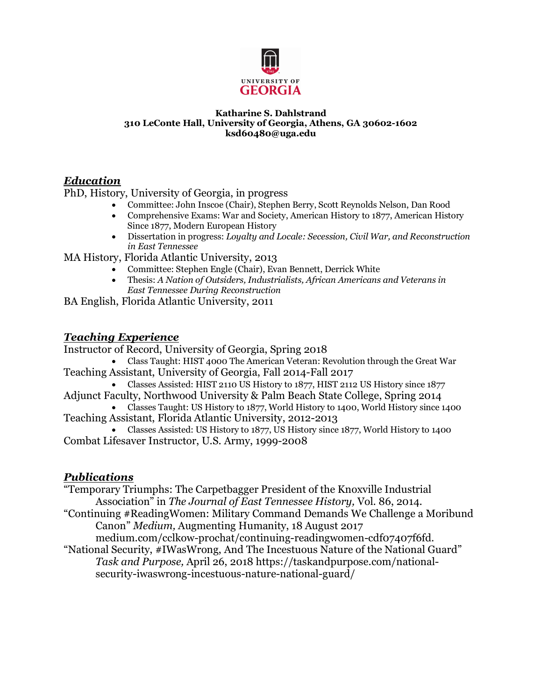

#### **Katharine S. Dahlstrand 310 LeConte Hall, University of Georgia, Athens, GA 30602-1602 ksd60480@uga.edu**

#### *Education*

PhD, History, University of Georgia, in progress

- Committee: John Inscoe (Chair), Stephen Berry, Scott Reynolds Nelson, Dan Rood
- Comprehensive Exams: War and Society, American History to 1877, American History Since 1877, Modern European History
- Dissertation in progress: *Loyalty and Locale: Secession, Civil War, and Reconstruction in East Tennessee*

MA History, Florida Atlantic University, 2013

- Committee: Stephen Engle (Chair), Evan Bennett, Derrick White
- Thesis: *A Nation of Outsiders, Industrialists, African Americans and Veterans in East Tennessee During Reconstruction*
- BA English, Florida Atlantic University, 2011

#### *Teaching Experience*

Instructor of Record, University of Georgia, Spring 2018

- Class Taught: HIST 4000 The American Veteran: Revolution through the Great War Teaching Assistant, University of Georgia, Fall 2014-Fall 2017
	- Classes Assisted: HIST 2110 US History to 1877, HIST 2112 US History since 1877
- Adjunct Faculty, Northwood University & Palm Beach State College, Spring 2014 • Classes Taught: US History to 1877, World History to 1400, World History since 1400
- Teaching Assistant, Florida Atlantic University, 2012-2013
- Classes Assisted: US History to 1877, US History since 1877, World History to 1400 Combat Lifesaver Instructor, U.S. Army, 1999-2008

#### *Publications*

- "Temporary Triumphs: The Carpetbagger President of the Knoxville Industrial Association" in *The Journal of East Tennessee History,* Vol. 86, 2014.
- "Continuing #ReadingWomen: Military Command Demands We Challenge a Moribund Canon" *Medium,* Augmenting Humanity, 18 August 2017

medium.com/cclkow-prochat/continuing-readingwomen-cdf07407f6fd. "National Security, #IWasWrong, And The Incestuous Nature of the National Guard"

*Task and Purpose,* April 26, 2018 https://taskandpurpose.com/nationalsecurity-iwaswrong-incestuous-nature-national-guard/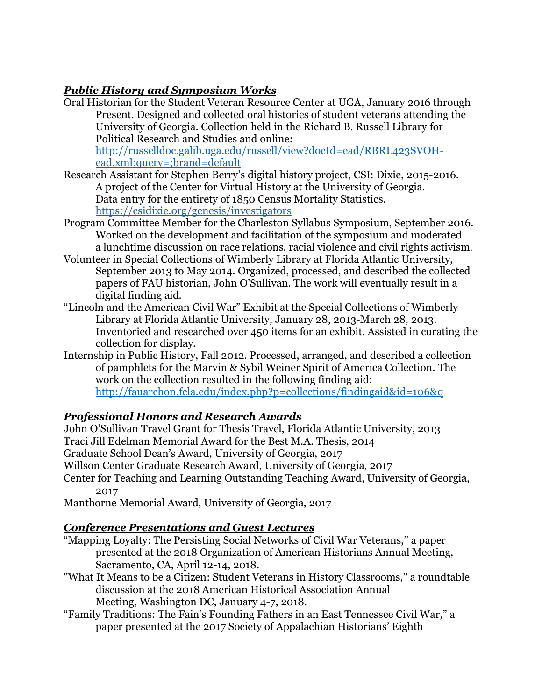# *Public History and Symposium Works*

- Oral Historian for the Student Veteran Resource Center at UGA, January 2016 through Present. Designed and collected oral histories of student veterans attending the University of Georgia. Collection held in the Richard B. Russell Library for Political Research and Studies and online: http://russelldoc.galib.uga.edu/russell/view?docId=ead/RBRL423SVOHead.xml;query=;brand=default
- Research Assistant for Stephen Berry's digital history project, CSI: Dixie, 2015-2016. A project of the Center for Virtual History at the University of Georgia. Data entry for the entirety of 1850 Census Mortality Statistics. https://csidixie.org/genesis/investigators
- Program Committee Member for the Charleston Syllabus Symposium, September 2016. Worked on the development and facilitation of the symposium and moderated a lunchtime discussion on race relations, racial violence and civil rights activism.
- Volunteer in Special Collections of Wimberly Library at Florida Atlantic University, September 2013 to May 2014. Organized, processed, and described the collected papers of FAU historian, John O'Sullivan. The work will eventually result in a digital finding aid.
- "Lincoln and the American Civil War" Exhibit at the Special Collections of Wimberly Library at Florida Atlantic University, January 28, 2013-March 28, 2013. Inventoried and researched over 450 items for an exhibit. Assisted in curating the collection for display.
- Internship in Public History, Fall 2012. Processed, arranged, and described a collection of pamphlets for the Marvin & Sybil Weiner Spirit of America Collection. The work on the collection resulted in the following finding aid: http://fauarchon.fcla.edu/index.php?p=collections/findingaid&id=106&q

# *Professional Honors and Research Awards*

John O'Sullivan Travel Grant for Thesis Travel, Florida Atlantic University, 2013 Traci Jill Edelman Memorial Award for the Best M.A. Thesis, 2014

Graduate School Dean's Award, University of Georgia, 2017

Willson Center Graduate Research Award, University of Georgia, 2017

Center for Teaching and Learning Outstanding Teaching Award, University of Georgia, 2017

Manthorne Memorial Award, University of Georgia, 2017

# *Conference Presentations and Guest Lectures*

- "Mapping Loyalty: The Persisting Social Networks of Civil War Veterans," a paper presented at the 2018 Organization of American Historians Annual Meeting, Sacramento, CA, April 12-14, 2018.
- "What It Means to be a Citizen: Student Veterans in History Classrooms," a roundtable discussion at the 2018 American Historical Association Annual Meeting, Washington DC, January 4-7, 2018.
- "Family Traditions: The Fain's Founding Fathers in an East Tennessee Civil War," a paper presented at the 2017 Society of Appalachian Historians' Eighth